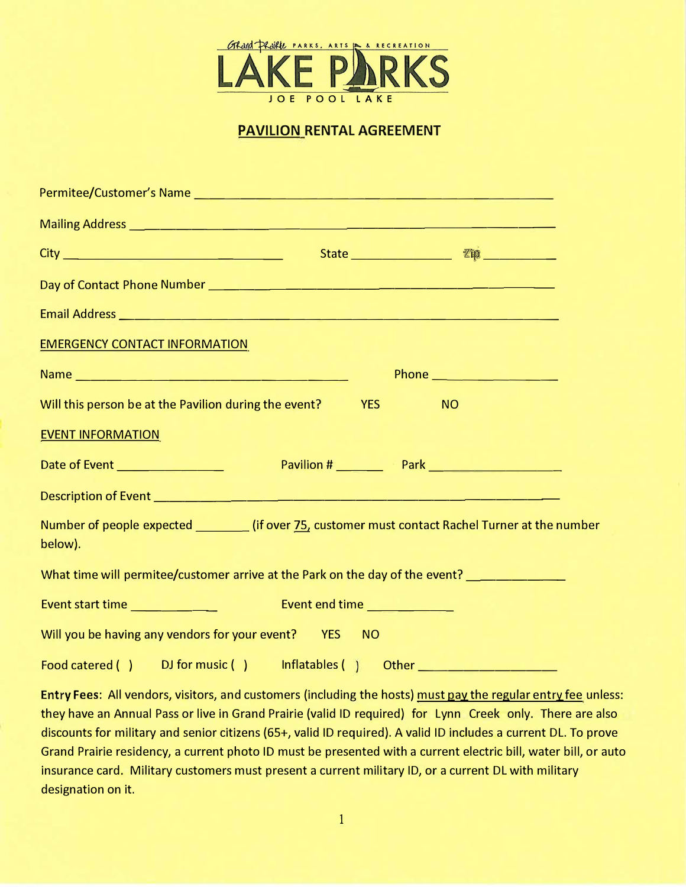

## **PAVILION RENTAL AGREEMENT**

| Mailing Address <b>Production Contract Contract Contract Contract Contract Contract Contract Contract Contract Contract Contract Contract Contract Contract Contract Contract Contract Contract Contract Contract Contract Contr</b> |                         |                          |
|--------------------------------------------------------------------------------------------------------------------------------------------------------------------------------------------------------------------------------------|-------------------------|--------------------------|
|                                                                                                                                                                                                                                      |                         |                          |
|                                                                                                                                                                                                                                      |                         |                          |
|                                                                                                                                                                                                                                      |                         |                          |
| <b>EMERGENCY CONTACT INFORMATION</b>                                                                                                                                                                                                 |                         |                          |
|                                                                                                                                                                                                                                      |                         | Phone __________________ |
| Will this person be at the Pavilion during the event?                                                                                                                                                                                | <b>YES</b><br><b>NO</b> |                          |
| <b>EVENT INFORMATION</b>                                                                                                                                                                                                             |                         |                          |
|                                                                                                                                                                                                                                      |                         |                          |
|                                                                                                                                                                                                                                      |                         |                          |
| Number of people expected ___________ (if over 75, customer must contact Rachel Turner at the number<br>below).                                                                                                                      |                         |                          |
| What time will permitee/customer arrive at the Park on the day of the event? ________________                                                                                                                                        |                         |                          |
|                                                                                                                                                                                                                                      |                         |                          |
| Will you be having any vendors for your event? YES NO                                                                                                                                                                                |                         |                          |
| Food catered () DJ for music () Inflatables () Other ___________________________                                                                                                                                                     |                         |                          |

Entry Fees: All vendors, visitors, and customers (including the hosts) must pay the regular entry fee unless: they have an Annual Pass or live in Grand Prairie (valid ID required) for Lynn Creek only. There are also discounts for military and senior citizens (65+, valid ID required). A valid ID includes a current DL. To prove Grand Prairie residency, a current photo ID must be presented with a current electric bill, water bill, or auto insurance card. Military customers must present a current military ID, or a current DL with military designation on it.